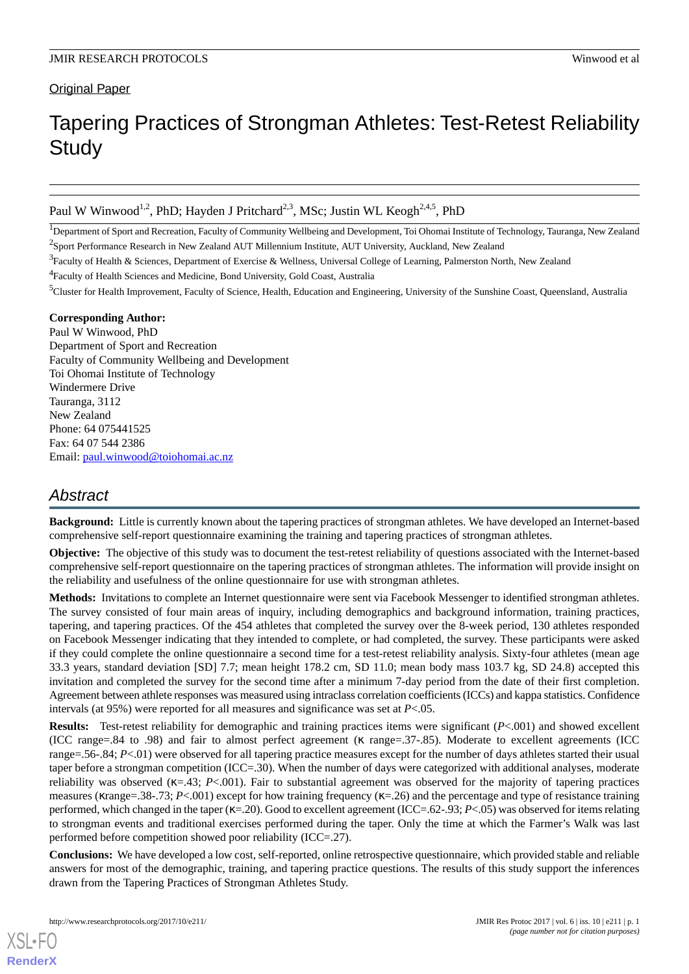# **Original Paper**

# Tapering Practices of Strongman Athletes: Test-Retest Reliability **Study**

Paul W Winwood<sup>1,2</sup>, PhD; Hayden J Pritchard<sup>2,3</sup>, MSc; Justin WL Keogh<sup>2,4,5</sup>, PhD

<sup>1</sup>Department of Sport and Recreation, Faculty of Community Wellbeing and Development, Toi Ohomai Institute of Technology, Tauranga, New Zealand <sup>2</sup>Sport Performance Research in New Zealand AUT Millennium Institute, AUT University, Auckland, New Zealand

<sup>4</sup> Faculty of Health Sciences and Medicine, Bond University, Gold Coast, Australia

<sup>5</sup>Cluster for Health Improvement, Faculty of Science, Health, Education and Engineering, University of the Sunshine Coast, Queensland, Australia

#### **Corresponding Author:**

Paul W Winwood, PhD Department of Sport and Recreation Faculty of Community Wellbeing and Development Toi Ohomai Institute of Technology Windermere Drive Tauranga, 3112 New Zealand Phone: 64 075441525 Fax: 64 07 544 2386 Email: [paul.winwood@toiohomai.ac.nz](mailto:paul.winwood@toiohomai.ac.nz)

# *Abstract*

**Background:** Little is currently known about the tapering practices of strongman athletes. We have developed an Internet-based comprehensive self-report questionnaire examining the training and tapering practices of strongman athletes.

**Objective:** The objective of this study was to document the test-retest reliability of questions associated with the Internet-based comprehensive self-report questionnaire on the tapering practices of strongman athletes. The information will provide insight on the reliability and usefulness of the online questionnaire for use with strongman athletes.

**Methods:** Invitations to complete an Internet questionnaire were sent via Facebook Messenger to identified strongman athletes. The survey consisted of four main areas of inquiry, including demographics and background information, training practices, tapering, and tapering practices. Of the 454 athletes that completed the survey over the 8-week period, 130 athletes responded on Facebook Messenger indicating that they intended to complete, or had completed, the survey. These participants were asked if they could complete the online questionnaire a second time for a test-retest reliability analysis. Sixty-four athletes (mean age 33.3 years, standard deviation [SD] 7.7; mean height 178.2 cm, SD 11.0; mean body mass 103.7 kg, SD 24.8) accepted this invitation and completed the survey for the second time after a minimum 7-day period from the date of their first completion. Agreement between athlete responses was measured using intraclass correlation coefficients (ICCs) and kappa statistics. Confidence intervals (at  $95\%$ ) were reported for all measures and significance was set at  $P<.05$ .

**Results:** Test-retest reliability for demographic and training practices items were significant (*P*<.001) and showed excellent (ICC range=.84 to .98) and fair to almost perfect agreement (κ range=.37-.85). Moderate to excellent agreements (ICC range=.56-.84; *P*<.01) were observed for all tapering practice measures except for the number of days athletes started their usual taper before a strongman competition (ICC=.30). When the number of days were categorized with additional analyses, moderate reliability was observed  $(\kappa = 43; P<.001)$ . Fair to substantial agreement was observed for the majority of tapering practices measures (κrange=.38-.73; *P*<.001) except for how training frequency (κ=.26) and the percentage and type of resistance training performed, which changed in the taper (κ=.20). Good to excellent agreement (ICC=.62-.93; *P*<.05) was observed for items relating to strongman events and traditional exercises performed during the taper. Only the time at which the Farmer's Walk was last performed before competition showed poor reliability (ICC=.27).

**Conclusions:** We have developed a low cost, self-reported, online retrospective questionnaire, which provided stable and reliable answers for most of the demographic, training, and tapering practice questions. The results of this study support the inferences drawn from the Tapering Practices of Strongman Athletes Study.

<sup>&</sup>lt;sup>3</sup> Faculty of Health & Sciences, Department of Exercise & Wellness, Universal College of Learning, Palmerston North, New Zealand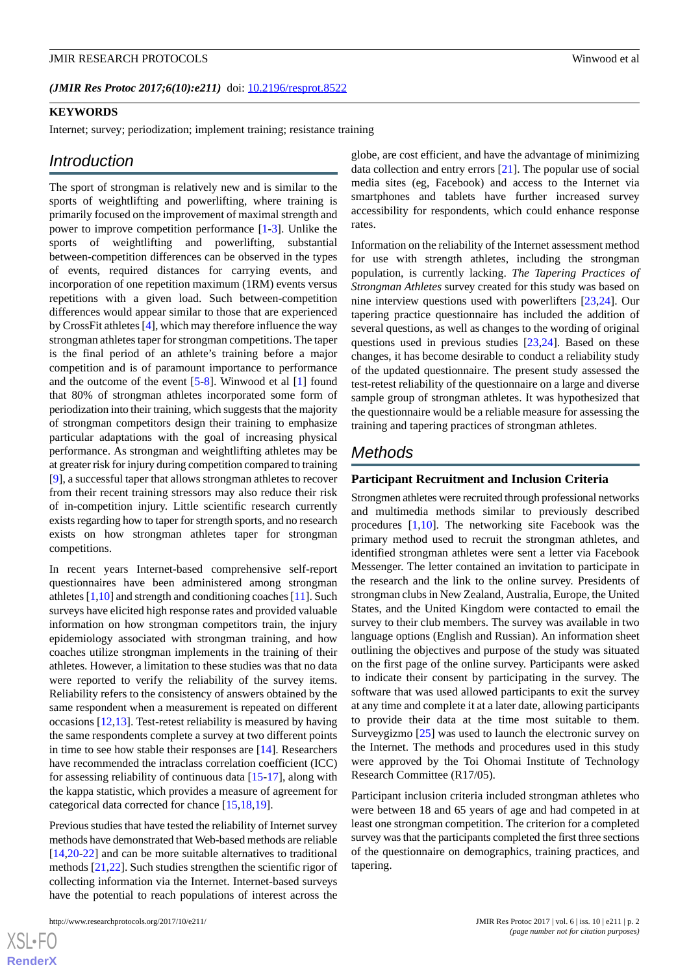(JMIR Res Protoc 2017;6(10):e211) doi: [10.2196/resprot.8522](http://dx.doi.org/10.2196/resprot.8522)

#### **KEYWORDS**

Internet; survey; periodization; implement training; resistance training

#### *Introduction*

The sport of strongman is relatively new and is similar to the sports of weightlifting and powerlifting, where training is primarily focused on the improvement of maximal strength and power to improve competition performance [\[1](#page-7-0)-[3\]](#page-7-1). Unlike the sports of weightlifting and powerlifting, substantial between-competition differences can be observed in the types of events, required distances for carrying events, and incorporation of one repetition maximum (1RM) events versus repetitions with a given load. Such between-competition differences would appear similar to those that are experienced by CrossFit athletes [[4\]](#page-7-2), which may therefore influence the way strongman athletes taper for strongman competitions. The taper is the final period of an athlete's training before a major competition and is of paramount importance to performance and the outcome of the event [\[5](#page-8-0)[-8](#page-8-1)]. Winwood et al [[1\]](#page-7-0) found that 80% of strongman athletes incorporated some form of periodization into their training, which suggests that the majority of strongman competitors design their training to emphasize particular adaptations with the goal of increasing physical performance. As strongman and weightlifting athletes may be at greater risk for injury during competition compared to training [[9\]](#page-8-2), a successful taper that allows strongman athletes to recover from their recent training stressors may also reduce their risk of in-competition injury. Little scientific research currently exists regarding how to taper for strength sports, and no research exists on how strongman athletes taper for strongman competitions.

In recent years Internet-based comprehensive self-report questionnaires have been administered among strongman athletes [[1,](#page-7-0)[10\]](#page-8-3) and strength and conditioning coaches [\[11](#page-8-4)]. Such surveys have elicited high response rates and provided valuable information on how strongman competitors train, the injury epidemiology associated with strongman training, and how coaches utilize strongman implements in the training of their athletes. However, a limitation to these studies was that no data were reported to verify the reliability of the survey items. Reliability refers to the consistency of answers obtained by the same respondent when a measurement is repeated on different occasions [\[12](#page-8-5),[13\]](#page-8-6). Test-retest reliability is measured by having the same respondents complete a survey at two different points in time to see how stable their responses are [[14\]](#page-8-7). Researchers have recommended the intraclass correlation coefficient (ICC) for assessing reliability of continuous data [[15-](#page-8-8)[17\]](#page-8-9), along with the kappa statistic, which provides a measure of agreement for categorical data corrected for chance [\[15](#page-8-8),[18](#page-8-10)[,19](#page-8-11)].

Previous studies that have tested the reliability of Internet survey methods have demonstrated that Web-based methods are reliable [[14](#page-8-7)[,20](#page-8-12)-[22\]](#page-8-13) and can be more suitable alternatives to traditional methods [[21](#page-8-14)[,22](#page-8-13)]. Such studies strengthen the scientific rigor of collecting information via the Internet. Internet-based surveys have the potential to reach populations of interest across the

 $XS$  • FO **[RenderX](http://www.renderx.com/)** globe, are cost efficient, and have the advantage of minimizing data collection and entry errors [[21\]](#page-8-14). The popular use of social media sites (eg, Facebook) and access to the Internet via smartphones and tablets have further increased survey accessibility for respondents, which could enhance response rates.

Information on the reliability of the Internet assessment method for use with strength athletes, including the strongman population, is currently lacking. *The Tapering Practices of Strongman Athletes* survey created for this study was based on nine interview questions used with powerlifters [\[23](#page-8-15),[24\]](#page-8-16). Our tapering practice questionnaire has included the addition of several questions, as well as changes to the wording of original questions used in previous studies [[23,](#page-8-15)[24](#page-8-16)]. Based on these changes, it has become desirable to conduct a reliability study of the updated questionnaire. The present study assessed the test-retest reliability of the questionnaire on a large and diverse sample group of strongman athletes. It was hypothesized that the questionnaire would be a reliable measure for assessing the training and tapering practices of strongman athletes.

# *Methods*

#### **Participant Recruitment and Inclusion Criteria**

Strongmen athletes were recruited through professional networks and multimedia methods similar to previously described procedures  $[1,10]$  $[1,10]$  $[1,10]$ . The networking site Facebook was the primary method used to recruit the strongman athletes, and identified strongman athletes were sent a letter via Facebook Messenger. The letter contained an invitation to participate in the research and the link to the online survey. Presidents of strongman clubs in New Zealand, Australia, Europe, the United States, and the United Kingdom were contacted to email the survey to their club members. The survey was available in two language options (English and Russian). An information sheet outlining the objectives and purpose of the study was situated on the first page of the online survey. Participants were asked to indicate their consent by participating in the survey. The software that was used allowed participants to exit the survey at any time and complete it at a later date, allowing participants to provide their data at the time most suitable to them. Surveygizmo [[25\]](#page-8-17) was used to launch the electronic survey on the Internet. The methods and procedures used in this study were approved by the Toi Ohomai Institute of Technology Research Committee (R17/05).

Participant inclusion criteria included strongman athletes who were between 18 and 65 years of age and had competed in at least one strongman competition. The criterion for a completed survey was that the participants completed the first three sections of the questionnaire on demographics, training practices, and tapering.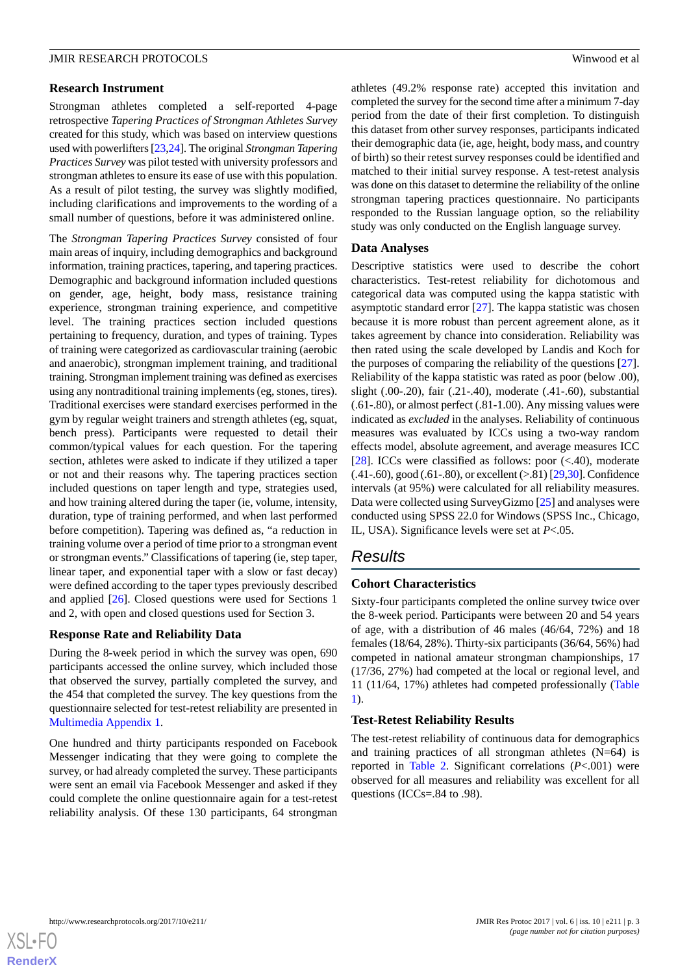#### **Research Instrument**

Strongman athletes completed a self-reported 4-page retrospective *Tapering Practices of Strongman Athletes Survey* created for this study, which was based on interview questions used with powerlifters [[23](#page-8-15),[24\]](#page-8-16). The original *Strongman Tapering Practices Survey* was pilot tested with university professors and strongman athletes to ensure its ease of use with this population. As a result of pilot testing, the survey was slightly modified, including clarifications and improvements to the wording of a small number of questions, before it was administered online.

The *Strongman Tapering Practices Survey* consisted of four main areas of inquiry, including demographics and background information, training practices, tapering, and tapering practices. Demographic and background information included questions on gender, age, height, body mass, resistance training experience, strongman training experience, and competitive level. The training practices section included questions pertaining to frequency, duration, and types of training. Types of training were categorized as cardiovascular training (aerobic and anaerobic), strongman implement training, and traditional training. Strongman implement training was defined as exercises using any nontraditional training implements (eg, stones, tires). Traditional exercises were standard exercises performed in the gym by regular weight trainers and strength athletes (eg, squat, bench press). Participants were requested to detail their common/typical values for each question. For the tapering section, athletes were asked to indicate if they utilized a taper or not and their reasons why. The tapering practices section included questions on taper length and type, strategies used, and how training altered during the taper (ie, volume, intensity, duration, type of training performed, and when last performed before competition). Tapering was defined as, "a reduction in training volume over a period of time prior to a strongman event or strongman events." Classifications of tapering (ie, step taper, linear taper, and exponential taper with a slow or fast decay) were defined according to the taper types previously described and applied [[26\]](#page-8-18). Closed questions were used for Sections 1 and 2, with open and closed questions used for Section 3.

#### **Response Rate and Reliability Data**

During the 8-week period in which the survey was open, 690 participants accessed the online survey, which included those that observed the survey, partially completed the survey, and the 454 that completed the survey. The key questions from the questionnaire selected for test-retest reliability are presented in [Multimedia Appendix 1.](#page-7-3)

One hundred and thirty participants responded on Facebook Messenger indicating that they were going to complete the survey, or had already completed the survey. These participants were sent an email via Facebook Messenger and asked if they could complete the online questionnaire again for a test-retest reliability analysis. Of these 130 participants, 64 strongman

athletes (49.2% response rate) accepted this invitation and completed the survey for the second time after a minimum 7-day period from the date of their first completion. To distinguish this dataset from other survey responses, participants indicated their demographic data (ie, age, height, body mass, and country of birth) so their retest survey responses could be identified and matched to their initial survey response. A test-retest analysis was done on this dataset to determine the reliability of the online strongman tapering practices questionnaire. No participants responded to the Russian language option, so the reliability study was only conducted on the English language survey.

#### **Data Analyses**

Descriptive statistics were used to describe the cohort characteristics. Test-retest reliability for dichotomous and categorical data was computed using the kappa statistic with asymptotic standard error  $[27]$  $[27]$ . The kappa statistic was chosen because it is more robust than percent agreement alone, as it takes agreement by chance into consideration. Reliability was then rated using the scale developed by Landis and Koch for the purposes of comparing the reliability of the questions [[27\]](#page-8-19). Reliability of the kappa statistic was rated as poor (below .00), slight (.00-.20), fair (.21-.40), moderate (.41-.60), substantial (.61-.80), or almost perfect (.81-1.00). Any missing values were indicated as *excluded* in the analyses. Reliability of continuous measures was evaluated by ICCs using a two-way random effects model, absolute agreement, and average measures ICC [ $28$ ]. ICCs were classified as follows: poor  $\left(\langle .40 \rangle , \text{ moderate}\right)$ (.41-.60), good (.61-.80), or excellent (>.81) [\[29](#page-8-21)[,30](#page-8-22)]. Confidence intervals (at 95%) were calculated for all reliability measures. Data were collected using SurveyGizmo [[25](#page-8-17)] and analyses were conducted using SPSS 22.0 for Windows (SPSS Inc., Chicago, IL, USA). Significance levels were set at *P*<.05.

# *Results*

#### **Cohort Characteristics**

Sixty-four participants completed the online survey twice over the 8-week period. Participants were between 20 and 54 years of age, with a distribution of 46 males (46/64, 72%) and 18 females (18/64, 28%). Thirty-six participants (36/64, 56%) had competed in national amateur strongman championships, 17 (17/36, 27%) had competed at the local or regional level, and 11 (11/64, 17%) athletes had competed professionally ([Table](#page-3-0) [1\)](#page-3-0).

#### **Test-Retest Reliability Results**

The test-retest reliability of continuous data for demographics and training practices of all strongman athletes  $(N=64)$  is reported in [Table 2.](#page-3-1) Significant correlations (*P*<.001) were observed for all measures and reliability was excellent for all questions (ICCs=.84 to .98).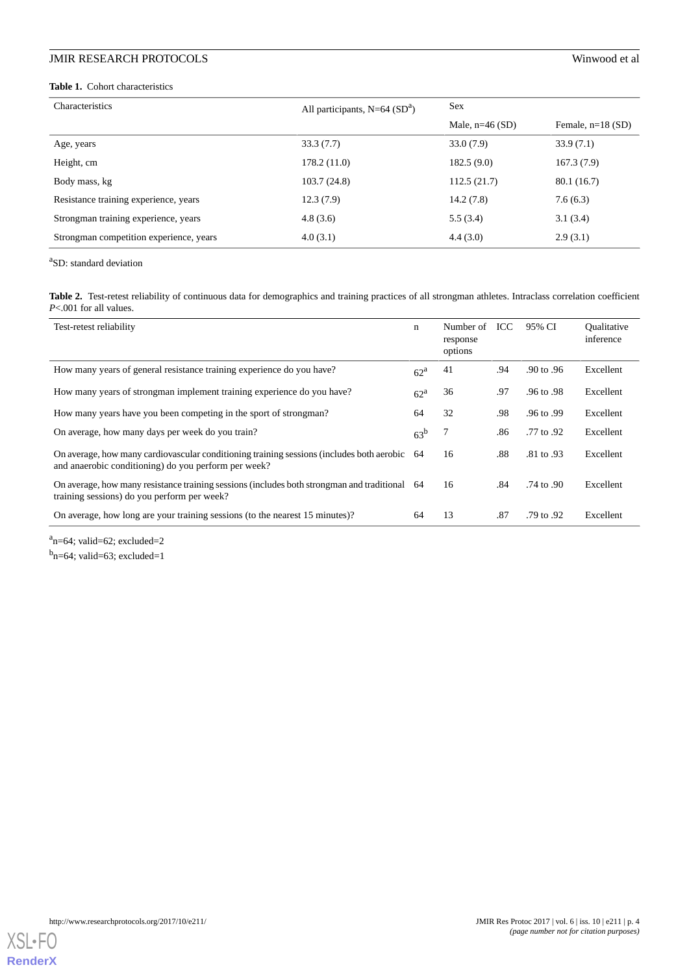# **JMIR RESEARCH PROTOCOLS**

#### <span id="page-3-0"></span>**Table 1.** Cohort characteristics

|  |  |  |  |  |  | Winwood et al |  |
|--|--|--|--|--|--|---------------|--|
|--|--|--|--|--|--|---------------|--|

| Characteristics                         | All participants, $N=64$ (SD <sup>a</sup> ) | <b>Sex</b>        |                     |
|-----------------------------------------|---------------------------------------------|-------------------|---------------------|
|                                         |                                             | Male, $n=46$ (SD) | Female, $n=18$ (SD) |
| Age, years                              | 33.3(7.7)                                   | 33.0(7.9)         | 33.9(7.1)           |
| Height, cm                              | 178.2(11.0)                                 | 182.5(9.0)        | 167.3(7.9)          |
| Body mass, kg                           | 103.7(24.8)                                 | 112.5(21.7)       | 80.1 (16.7)         |
| Resistance training experience, years   | 12.3(7.9)                                   | 14.2(7.8)         | 7.6(6.3)            |
| Strongman training experience, years    | 4.8(3.6)                                    | 5.5(3.4)          | 3.1(3.4)            |
| Strongman competition experience, years | 4.0(3.1)                                    | 4.4(3.0)          | 2.9(3.1)            |

<span id="page-3-1"></span><sup>a</sup>SD: standard deviation

Table 2. Test-retest reliability of continuous data for demographics and training practices of all strongman athletes. Intraclass correlation coefficient *P*<.001 for all values.

| Test-retest reliability                                                                                                                              | $\mathbf n$       | Number of<br>response<br>options | ICC | 95% CI     | Oualitative<br>inference |
|------------------------------------------------------------------------------------------------------------------------------------------------------|-------------------|----------------------------------|-----|------------|--------------------------|
| How many years of general resistance training experience do you have?                                                                                | 62 <sup>a</sup>   | 41                               | .94 | .90 to .96 | Excellent                |
| How many years of strongman implement training experience do you have?                                                                               | $62^{\mathrm{a}}$ | 36                               | .97 | .96 to .98 | Excellent                |
| How many years have you been competing in the sport of strong man?                                                                                   | 64                | 32                               | .98 | .96 to .99 | Excellent                |
| On average, how many days per week do you train?                                                                                                     | 63 <sup>b</sup>   |                                  | .86 | .77 to .92 | Excellent                |
| On average, how many cardiovascular conditioning training sessions (includes both aerobic 64<br>and anaerobic conditioning) do you perform per week? |                   | 16                               | .88 | .81 to .93 | Excellent                |
| On average, how many resistance training sessions (includes both strongman and traditional 64<br>training sessions) do you perform per week?         |                   | 16                               | .84 | .74 to .90 | Excellent                |
| On average, how long are your training sessions (to the nearest 15 minutes)?                                                                         | 64                | 13                               | .87 | .79 to .92 | Excellent                |

 $a_{n=64}$ ; valid=62; excluded=2

<sup>b</sup>n=64; valid=63; excluded=1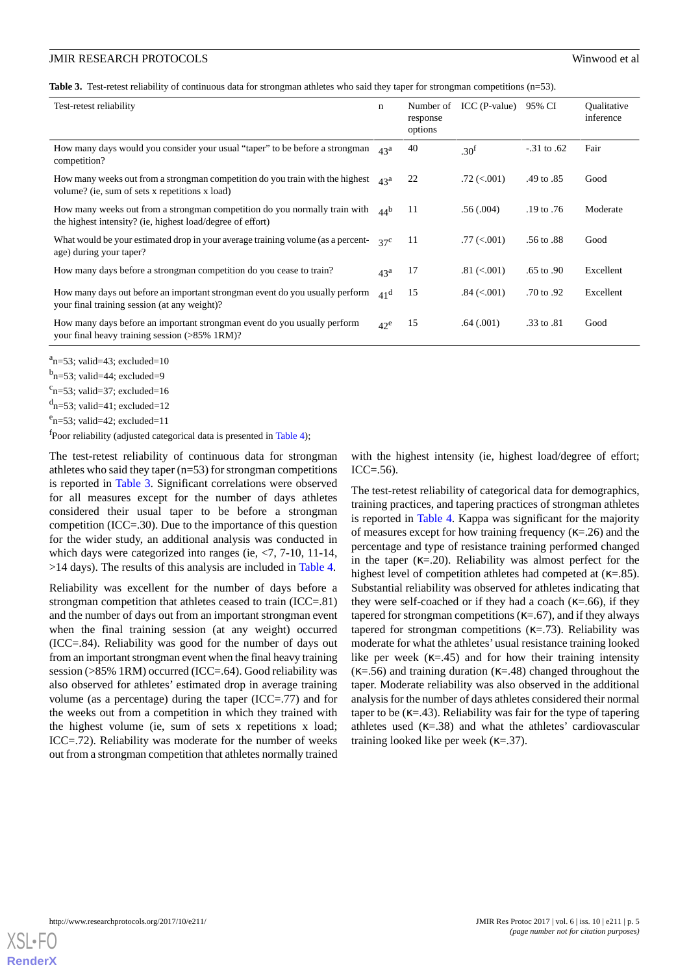<span id="page-4-0"></span>**Table 3.** Test-retest reliability of continuous data for strongman athletes who said they taper for strongman competitions (n=53).

| Test-retest reliability                                                                                                                         | $\mathbf n$     | Number of<br>response<br>options | $ICC$ (P-value)  | 95% CI       | Oualitative<br>inference |
|-------------------------------------------------------------------------------------------------------------------------------------------------|-----------------|----------------------------------|------------------|--------------|--------------------------|
| How many days would you consider your usual "taper" to be before a strong man<br>competition?                                                   | 43 <sup>a</sup> | 40                               | .30 <sup>f</sup> | $-31$ to .62 | Fair                     |
| How many weeks out from a strong man competition do you train with the highest $\alpha_3^a$<br>volume? (ie, sum of sets x repetitions x load)   |                 | 22                               | $.72 \,(< .001)$ | .49 to .85   | Good                     |
| How many weeks out from a strong man competition do you normally train with $AAb$<br>the highest intensity? (ie, highest load/degree of effort) |                 | 11                               | .56(.004)        | .19 to .76   | Moderate                 |
| What would be your estimated drop in your average training volume (as a percent-<br>age) during your taper?                                     | $37^{\circ}$    | 11                               | .77 (< 0.001)    | .56 to .88   | Good                     |
| How many days before a strong man competition do you cease to train?                                                                            | 43 <sup>a</sup> | 17                               | $.81 \ (< .001)$ | .65 to .90   | Excellent                |
| How many days out before an important strongman event do you usually perform<br>your final training session (at any weight)?                    | 41 <sup>d</sup> | 15                               | $.84 \ (< .001)$ | .70 to .92   | Excellent                |
| How many days before an important strongman event do you usually perform<br>your final heavy training session (>85% 1RM)?                       | $42^e$          | 15                               | .64(.001)        | .33 to .81   | Good                     |

 $a_{\text{n=53}}$ ; valid=43; excluded=10

<sup>b</sup>n=53; valid=44; excluded=9

 $c_{n=53}$ ; valid=37; excluded=16

 $d_{n=53}$ ; valid=41; excluded=12

 $e_{n=53}$ ; valid=42; excluded=11

<sup>f</sup>Poor reliability (adjusted categorical data is presented in [Table 4](#page-5-0));

The test-retest reliability of continuous data for strongman athletes who said they taper (n=53) for strongman competitions is reported in [Table 3](#page-4-0). Significant correlations were observed for all measures except for the number of days athletes considered their usual taper to be before a strongman competition (ICC=.30). Due to the importance of this question for the wider study, an additional analysis was conducted in which days were categorized into ranges (ie,  $\langle 7, 7-10, 11-14,$ >14 days). The results of this analysis are included in [Table 4.](#page-5-0)

Reliability was excellent for the number of days before a strongman competition that athletes ceased to train (ICC=.81) and the number of days out from an important strongman event when the final training session (at any weight) occurred (ICC=.84). Reliability was good for the number of days out from an important strongman event when the final heavy training session (>85% 1RM) occurred (ICC=.64). Good reliability was also observed for athletes' estimated drop in average training volume (as a percentage) during the taper (ICC=.77) and for the weeks out from a competition in which they trained with the highest volume (ie, sum of sets x repetitions x load; ICC=.72). Reliability was moderate for the number of weeks out from a strongman competition that athletes normally trained

with the highest intensity (ie, highest load/degree of effort;  $ICC = .56$ ).

The test-retest reliability of categorical data for demographics, training practices, and tapering practices of strongman athletes is reported in [Table 4.](#page-5-0) Kappa was significant for the majority of measures except for how training frequency ( $\kappa$ =.26) and the percentage and type of resistance training performed changed in the taper  $(\kappa=0.20)$ . Reliability was almost perfect for the highest level of competition athletes had competed at  $(K=.85)$ . Substantial reliability was observed for athletes indicating that they were self-coached or if they had a coach ( $\kappa$ =.66), if they tapered for strongman competitions ( $\kappa = .67$ ), and if they always tapered for strongman competitions  $(\kappa = .73)$ . Reliability was moderate for what the athletes' usual resistance training looked like per week  $(\kappa = .45)$  and for how their training intensity  $(\kappa = .56)$  and training duration  $(\kappa = .48)$  changed throughout the taper. Moderate reliability was also observed in the additional analysis for the number of days athletes considered their normal taper to be  $(K=.43)$ . Reliability was fair for the type of tapering athletes used  $(K=0.38)$  and what the athletes' cardiovascular training looked like per week  $(\kappa = 37)$ .

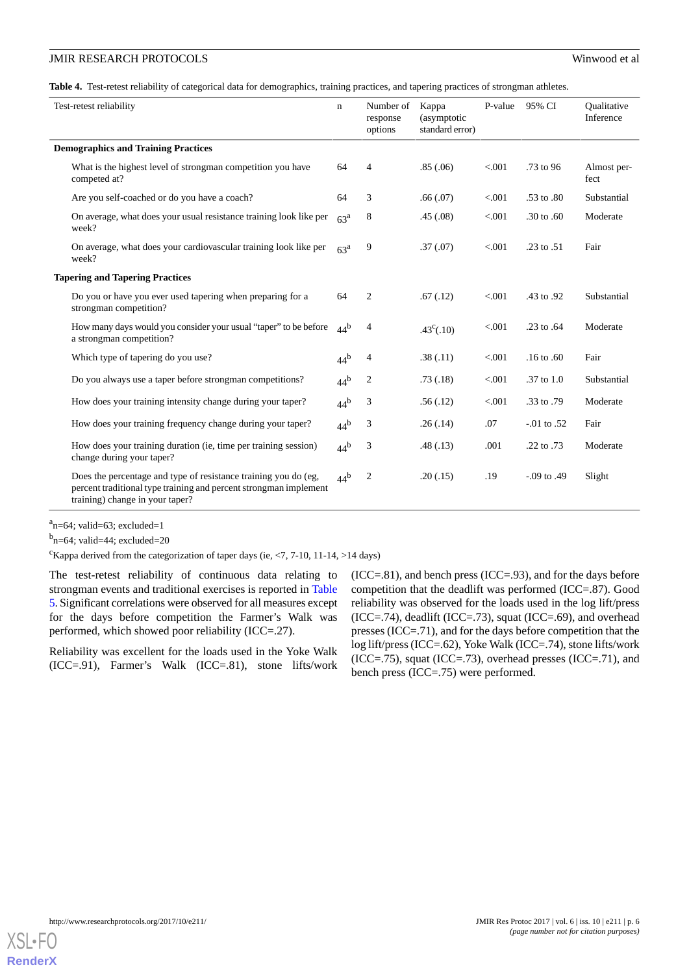<span id="page-5-0"></span>**Table 4.** Test-retest reliability of categorical data for demographics, training practices, and tapering practices of strongman athletes.

| Test-retest reliability                    |                                                                                                                                                                         | $\mathbf n$     | Number of<br>response<br>options | Kappa<br>(asymptotic<br>standard error) | P-value | 95% CI           | Oualitative<br>Inference |
|--------------------------------------------|-------------------------------------------------------------------------------------------------------------------------------------------------------------------------|-----------------|----------------------------------|-----------------------------------------|---------|------------------|--------------------------|
| <b>Demographics and Training Practices</b> |                                                                                                                                                                         |                 |                                  |                                         |         |                  |                          |
|                                            | What is the highest level of strongman competition you have<br>competed at?                                                                                             | 64              | 4                                | .85(.06)                                | < 0.001 | $.73$ to 96      | Almost per-<br>fect      |
|                                            | Are you self-coached or do you have a coach?                                                                                                                            | 64              | 3                                | .66(0.07)                               | < 0.001 | .53 to .80       | Substantial              |
|                                            | On average, what does your usual resistance training look like per<br>week?                                                                                             | 63 <sup>a</sup> | 8                                | .45(.08)                                | < 0.001 | $.30$ to $.60$   | Moderate                 |
|                                            | On average, what does your cardiovascular training look like per<br>week?                                                                                               | 63 <sup>a</sup> | 9                                | .37(.07)                                | < 0.001 | .23 to $.51$     | Fair                     |
| <b>Tapering and Tapering Practices</b>     |                                                                                                                                                                         |                 |                                  |                                         |         |                  |                          |
|                                            | Do you or have you ever used tapering when preparing for a<br>strongman competition?                                                                                    | 64              | 2                                | .67(.12)                                | < 0.001 | .43 to .92       | Substantial              |
|                                            | How many days would you consider your usual "taper" to be before<br>a strongman competition?                                                                            | 44 <sup>b</sup> | 4                                | $.43^{\circ}(.10)$                      | < 0.001 | .23 to .64       | Moderate                 |
|                                            | Which type of tapering do you use?                                                                                                                                      | 44 <sup>b</sup> | 4                                | .38(.11)                                | < 0.001 | $.16$ to $.60$   | Fair                     |
|                                            | Do you always use a taper before strongman competitions?                                                                                                                | 44 <sup>b</sup> | 2                                | .73(.18)                                | < 0.001 | $.37$ to $1.0$   | Substantial              |
|                                            | How does your training intensity change during your taper?                                                                                                              | 44 <sup>b</sup> | 3                                | .56(.12)                                | < 0.001 | .33 to .79       | Moderate                 |
|                                            | How does your training frequency change during your taper?                                                                                                              | 44 <sup>b</sup> | 3                                | .26(.14)                                | .07     | $-01$ to .52     | Fair                     |
|                                            | How does your training duration (ie, time per training session)<br>change during your taper?                                                                            | 44 <sup>b</sup> | 3                                | .48(.13)                                | .001    | .22 to .73       | Moderate                 |
|                                            | Does the percentage and type of resistance training you do (eg,<br>percent traditional type training and percent strongman implement<br>training) change in your taper? | $44^{\rm b}$    | 2                                | .20(0.15)                               | .19     | $-0.09$ to $.49$ | Slight                   |

 $a_{n=64}$ ; valid=63; excluded=1

 $<sup>b</sup>n=64$ ; valid=44; excluded=20</sup>

<sup>c</sup>Kappa derived from the categorization of taper days (ie,  $\langle 7, 7-10, 11-14, \rangle$  14 days)

The test-retest reliability of continuous data relating to strongman events and traditional exercises is reported in [Table](#page-6-0) [5](#page-6-0). Significant correlations were observed for all measures except for the days before competition the Farmer's Walk was performed, which showed poor reliability (ICC=.27).

Reliability was excellent for the loads used in the Yoke Walk (ICC=.91), Farmer's Walk (ICC=.81), stone lifts/work (ICC=.81), and bench press (ICC=.93), and for the days before competition that the deadlift was performed (ICC=.87). Good reliability was observed for the loads used in the log lift/press  $(ICC=.74)$ , deadlift  $(ICC=.73)$ , squat  $(ICC=.69)$ , and overhead presses (ICC=.71), and for the days before competition that the log lift/press (ICC=.62), Yoke Walk (ICC=.74), stone lifts/work  $(ICC=.75)$ , squat  $(ICC=.73)$ , overhead presses  $(ICC=.71)$ , and bench press (ICC=.75) were performed.

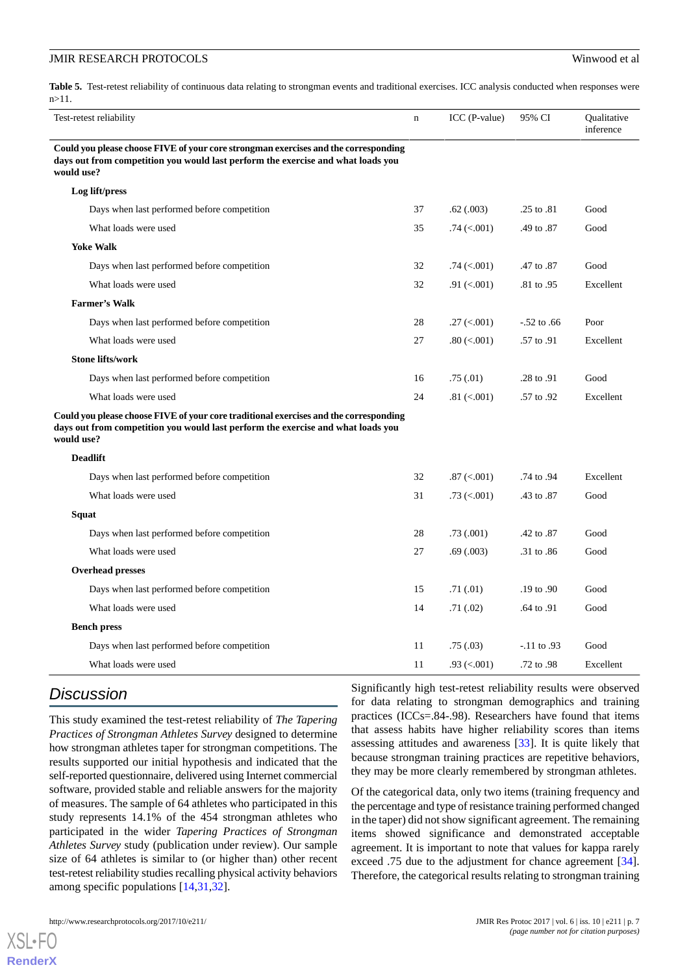<span id="page-6-0"></span>Table 5. Test-retest reliability of continuous data relating to strongman events and traditional exercises. ICC analysis conducted when responses were n>11.

| Test-retest reliability                                                                                                                                                                 | $\mathbf n$ | ICC (P-value)               | 95% CI         | Qualitative<br>inference |
|-----------------------------------------------------------------------------------------------------------------------------------------------------------------------------------------|-------------|-----------------------------|----------------|--------------------------|
| Could you please choose FIVE of your core strongman exercises and the corresponding<br>days out from competition you would last perform the exercise and what loads you<br>would use?   |             |                             |                |                          |
| Log lift/press                                                                                                                                                                          |             |                             |                |                          |
| Days when last performed before competition                                                                                                                                             | 37          | .62(.003)                   | .25 to .81     | Good                     |
| What loads were used                                                                                                                                                                    | 35          | $.74 \times 001$            | .49 to .87     | Good                     |
| <b>Yoke Walk</b>                                                                                                                                                                        |             |                             |                |                          |
| Days when last performed before competition                                                                                                                                             | 32          | $.74 \left( < .001 \right)$ | .47 to .87     | Good                     |
| What loads were used                                                                                                                                                                    | 32          | $.91 \ (< .001)$            | .81 to .95     | Excellent                |
| <b>Farmer's Walk</b>                                                                                                                                                                    |             |                             |                |                          |
| Days when last performed before competition                                                                                                                                             | 28          | $.27 \left( < .001 \right)$ | $-52$ to $.66$ | Poor                     |
| What loads were used                                                                                                                                                                    | 27          | $.80 \, (< .001)$           | .57 to .91     | Excellent                |
| <b>Stone lifts/work</b>                                                                                                                                                                 |             |                             |                |                          |
| Days when last performed before competition                                                                                                                                             | 16          | .75(.01)                    | .28 to .91     | Good                     |
| What loads were used                                                                                                                                                                    | 24          | $.81 \ (< .001)$            | .57 to .92     | Excellent                |
| Could you please choose FIVE of your core traditional exercises and the corresponding<br>days out from competition you would last perform the exercise and what loads you<br>would use? |             |                             |                |                          |
| <b>Deadlift</b>                                                                                                                                                                         |             |                             |                |                          |
| Days when last performed before competition                                                                                                                                             | 32          | $.87 \ (< .001)$            | .74 to .94     | Excellent                |
| What loads were used                                                                                                                                                                    | 31          | $.73 \; (<.001)$            | .43 to .87     | Good                     |
| Squat                                                                                                                                                                                   |             |                             |                |                          |
| Days when last performed before competition                                                                                                                                             | 28          | .73(.001)                   | .42 to .87     | Good                     |
| What loads were used                                                                                                                                                                    | 27          | .69(.003)                   | .31 to .86     | Good                     |
| <b>Overhead presses</b>                                                                                                                                                                 |             |                             |                |                          |
| Days when last performed before competition                                                                                                                                             | 15          | .71(.01)                    | .19 to .90     | Good                     |
| What loads were used                                                                                                                                                                    | 14          | .71(02)                     | .64 to .91     | Good                     |
| <b>Bench press</b>                                                                                                                                                                      |             |                             |                |                          |
| Days when last performed before competition                                                                                                                                             | 11          | .75(.03)                    | $-11$ to $.93$ | Good                     |
| What loads were used                                                                                                                                                                    | 11          | $.93 \ (< .001)$            | .72 to .98     | Excellent                |

# *Discussion*

This study examined the test-retest reliability of *The Tapering Practices of Strongman Athletes Survey* designed to determine how strongman athletes taper for strongman competitions. The results supported our initial hypothesis and indicated that the self-reported questionnaire, delivered using Internet commercial software, provided stable and reliable answers for the majority of measures. The sample of 64 athletes who participated in this study represents 14.1% of the 454 strongman athletes who participated in the wider *Tapering Practices of Strongman Athletes Survey* study (publication under review). Our sample size of 64 athletes is similar to (or higher than) other recent test-retest reliability studies recalling physical activity behaviors among specific populations [\[14](#page-8-7),[31,](#page-8-23)[32](#page-8-24)].

Significantly high test-retest reliability results were observed for data relating to strongman demographics and training practices (ICCs=.84-.98). Researchers have found that items that assess habits have higher reliability scores than items assessing attitudes and awareness [\[33](#page-8-25)]. It is quite likely that because strongman training practices are repetitive behaviors, they may be more clearly remembered by strongman athletes.

Of the categorical data, only two items (training frequency and the percentage and type of resistance training performed changed in the taper) did not show significant agreement. The remaining items showed significance and demonstrated acceptable agreement. It is important to note that values for kappa rarely exceed .75 due to the adjustment for chance agreement [[34\]](#page-8-26). Therefore, the categorical results relating to strongman training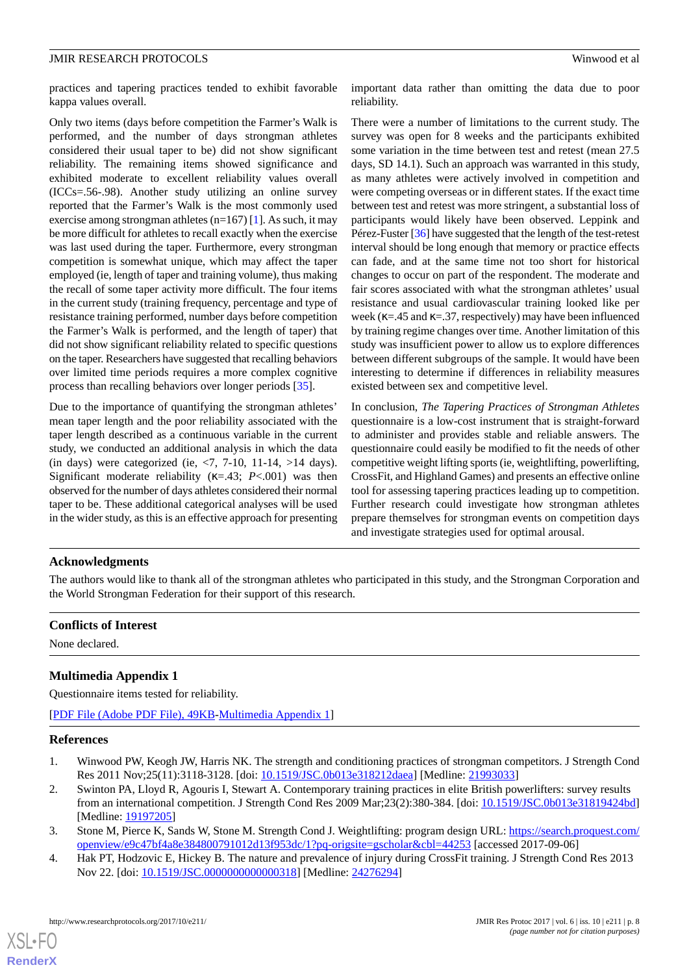practices and tapering practices tended to exhibit favorable kappa values overall.

Only two items (days before competition the Farmer's Walk is performed, and the number of days strongman athletes considered their usual taper to be) did not show significant reliability. The remaining items showed significance and exhibited moderate to excellent reliability values overall (ICCs=.56-.98). Another study utilizing an online survey reported that the Farmer's Walk is the most commonly used exercise among strongman athletes (n=167) [[1\]](#page-7-0). As such, it may be more difficult for athletes to recall exactly when the exercise was last used during the taper. Furthermore, every strongman competition is somewhat unique, which may affect the taper employed (ie, length of taper and training volume), thus making the recall of some taper activity more difficult. The four items in the current study (training frequency, percentage and type of resistance training performed, number days before competition the Farmer's Walk is performed, and the length of taper) that did not show significant reliability related to specific questions on the taper. Researchers have suggested that recalling behaviors over limited time periods requires a more complex cognitive process than recalling behaviors over longer periods [[35\]](#page-9-0).

Due to the importance of quantifying the strongman athletes' mean taper length and the poor reliability associated with the taper length described as a continuous variable in the current study, we conducted an additional analysis in which the data (in days) were categorized (ie,  $\langle 7, 7 \cdot 10, 11 \cdot 14, \rangle$  14 days). Significant moderate reliability (κ=.43; *P*<.001) was then observed for the number of days athletes considered their normal taper to be. These additional categorical analyses will be used in the wider study, as this is an effective approach for presenting important data rather than omitting the data due to poor reliability.

There were a number of limitations to the current study. The survey was open for 8 weeks and the participants exhibited some variation in the time between test and retest (mean 27.5 days, SD 14.1). Such an approach was warranted in this study, as many athletes were actively involved in competition and were competing overseas or in different states. If the exact time between test and retest was more stringent, a substantial loss of participants would likely have been observed. Leppink and Pérez-Fuster [\[36](#page-9-1)] have suggested that the length of the test-retest interval should be long enough that memory or practice effects can fade, and at the same time not too short for historical changes to occur on part of the respondent. The moderate and fair scores associated with what the strongman athletes' usual resistance and usual cardiovascular training looked like per week ( $\kappa$ =.45 and  $\kappa$ =.37, respectively) may have been influenced by training regime changes over time. Another limitation of this study was insufficient power to allow us to explore differences between different subgroups of the sample. It would have been interesting to determine if differences in reliability measures existed between sex and competitive level.

In conclusion, *The Tapering Practices of Strongman Athletes* questionnaire is a low-cost instrument that is straight-forward to administer and provides stable and reliable answers. The questionnaire could easily be modified to fit the needs of other competitive weight lifting sports (ie, weightlifting, powerlifting, CrossFit, and Highland Games) and presents an effective online tool for assessing tapering practices leading up to competition. Further research could investigate how strongman athletes prepare themselves for strongman events on competition days and investigate strategies used for optimal arousal.

#### **Acknowledgments**

The authors would like to thank all of the strongman athletes who participated in this study, and the Strongman Corporation and the World Strongman Federation for their support of this research.

#### <span id="page-7-3"></span>**Conflicts of Interest**

None declared.

#### **Multimedia Appendix 1**

<span id="page-7-0"></span>Questionnaire items tested for reliability.

[[PDF File \(Adobe PDF File\), 49KB-Multimedia Appendix 1](https://jmir.org/api/download?alt_name=resprot_v6i10e211_app1.pdf&filename=06c281919400c75710130a0f2e6ecaac.pdf)]

#### <span id="page-7-1"></span>**References**

- <span id="page-7-2"></span>1. Winwood PW, Keogh JW, Harris NK. The strength and conditioning practices of strongman competitors. J Strength Cond Res 2011 Nov;25(11):3118-3128. [doi: [10.1519/JSC.0b013e318212daea](http://dx.doi.org/10.1519/JSC.0b013e318212daea)] [Medline: [21993033\]](http://www.ncbi.nlm.nih.gov/entrez/query.fcgi?cmd=Retrieve&db=PubMed&list_uids=21993033&dopt=Abstract)
- 2. Swinton PA, Lloyd R, Agouris I, Stewart A. Contemporary training practices in elite British powerlifters: survey results from an international competition. J Strength Cond Res 2009 Mar;23(2):380-384. [doi: [10.1519/JSC.0b013e31819424bd](http://dx.doi.org/10.1519/JSC.0b013e31819424bd)] [Medline: [19197205](http://www.ncbi.nlm.nih.gov/entrez/query.fcgi?cmd=Retrieve&db=PubMed&list_uids=19197205&dopt=Abstract)]
- 3. Stone M, Pierce K, Sands W, Stone M. Strength Cond J. Weightlifting: program design URL: [https://search.proquest.com/](https://search.proquest.com/openview/e9c47bf4a8e384800791012d13f953dc/1?pq-origsite=gscholar&cbl=44253) [openview/e9c47bf4a8e384800791012d13f953dc/1?pq-origsite=gscholar&cbl=44253](https://search.proquest.com/openview/e9c47bf4a8e384800791012d13f953dc/1?pq-origsite=gscholar&cbl=44253) [accessed 2017-09-06]
- 4. Hak PT, Hodzovic E, Hickey B. The nature and prevalence of injury during CrossFit training. J Strength Cond Res 2013 Nov 22. [doi: [10.1519/JSC.0000000000000318](http://dx.doi.org/10.1519/JSC.0000000000000318)] [Medline: [24276294](http://www.ncbi.nlm.nih.gov/entrez/query.fcgi?cmd=Retrieve&db=PubMed&list_uids=24276294&dopt=Abstract)]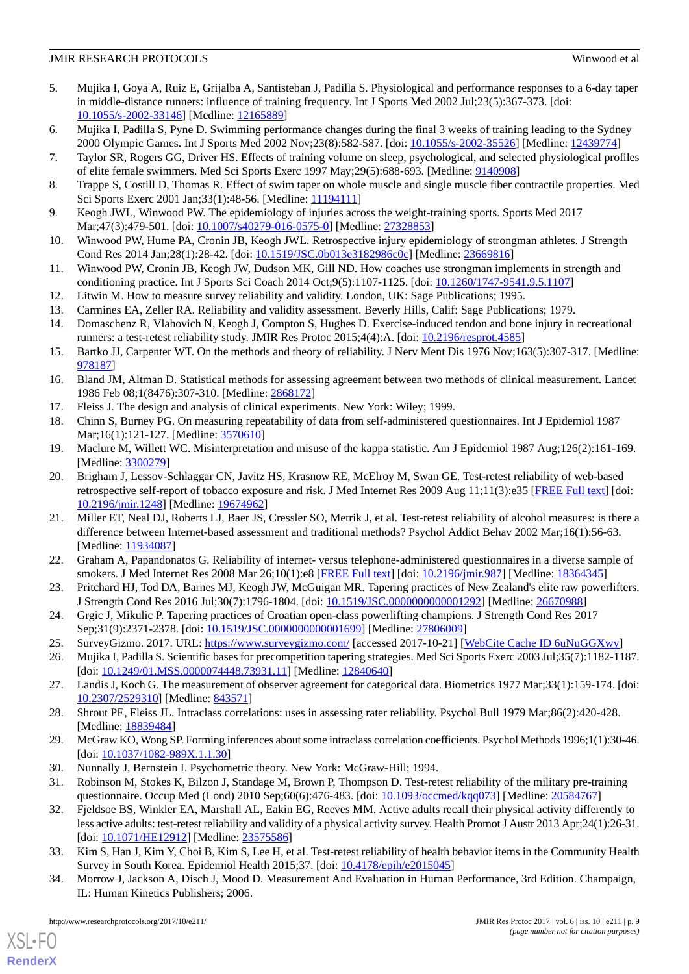- <span id="page-8-0"></span>5. Mujika I, Goya A, Ruiz E, Grijalba A, Santisteban J, Padilla S. Physiological and performance responses to a 6-day taper in middle-distance runners: influence of training frequency. Int J Sports Med 2002 Jul;23(5):367-373. [doi: [10.1055/s-2002-33146](http://dx.doi.org/10.1055/s-2002-33146)] [Medline: [12165889](http://www.ncbi.nlm.nih.gov/entrez/query.fcgi?cmd=Retrieve&db=PubMed&list_uids=12165889&dopt=Abstract)]
- 6. Mujika I, Padilla S, Pyne D. Swimming performance changes during the final 3 weeks of training leading to the Sydney 2000 Olympic Games. Int J Sports Med 2002 Nov;23(8):582-587. [doi: [10.1055/s-2002-35526\]](http://dx.doi.org/10.1055/s-2002-35526) [Medline: [12439774](http://www.ncbi.nlm.nih.gov/entrez/query.fcgi?cmd=Retrieve&db=PubMed&list_uids=12439774&dopt=Abstract)]
- <span id="page-8-1"></span>7. Taylor SR, Rogers GG, Driver HS. Effects of training volume on sleep, psychological, and selected physiological profiles of elite female swimmers. Med Sci Sports Exerc 1997 May;29(5):688-693. [Medline: [9140908](http://www.ncbi.nlm.nih.gov/entrez/query.fcgi?cmd=Retrieve&db=PubMed&list_uids=9140908&dopt=Abstract)]
- <span id="page-8-2"></span>8. Trappe S, Costill D, Thomas R. Effect of swim taper on whole muscle and single muscle fiber contractile properties. Med Sci Sports Exerc 2001 Jan; 33(1): 48-56. [Medline: [11194111\]](http://www.ncbi.nlm.nih.gov/entrez/query.fcgi?cmd=Retrieve&db=PubMed&list_uids=11194111&dopt=Abstract)
- <span id="page-8-3"></span>9. Keogh JWL, Winwood PW. The epidemiology of injuries across the weight-training sports. Sports Med 2017 Mar; 47(3): 479-501. [doi: 10.1007/s 40279-016-0575-0] [Medline: [27328853](http://www.ncbi.nlm.nih.gov/entrez/query.fcgi?cmd=Retrieve&db=PubMed&list_uids=27328853&dopt=Abstract)]
- <span id="page-8-4"></span>10. Winwood PW, Hume PA, Cronin JB, Keogh JWL. Retrospective injury epidemiology of strongman athletes. J Strength Cond Res 2014 Jan;28(1):28-42. [doi: [10.1519/JSC.0b013e3182986c0c](http://dx.doi.org/10.1519/JSC.0b013e3182986c0c)] [Medline: [23669816\]](http://www.ncbi.nlm.nih.gov/entrez/query.fcgi?cmd=Retrieve&db=PubMed&list_uids=23669816&dopt=Abstract)
- <span id="page-8-6"></span><span id="page-8-5"></span>11. Winwood PW, Cronin JB, Keogh JW, Dudson MK, Gill ND. How coaches use strongman implements in strength and conditioning practice. Int J Sports Sci Coach 2014 Oct;9(5):1107-1125. [doi: [10.1260/1747-9541.9.5.1107\]](http://dx.doi.org/10.1260/1747-9541.9.5.1107)
- <span id="page-8-7"></span>12. Litwin M. How to measure survey reliability and validity. London, UK: Sage Publications; 1995.
- <span id="page-8-8"></span>13. Carmines EA, Zeller RA. Reliability and validity assessment. Beverly Hills, Calif: Sage Publications; 1979.
- 14. Domaschenz R, Vlahovich N, Keogh J, Compton S, Hughes D. Exercise-induced tendon and bone injury in recreational runners: a test-retest reliability study. JMIR Res Protoc 2015;4(4):A. [doi: [10.2196/resprot.4585](http://dx.doi.org/10.2196/resprot.4585)]
- 15. Bartko JJ, Carpenter WT. On the methods and theory of reliability. J Nerv Ment Dis 1976 Nov;163(5):307-317. [Medline: [978187](http://www.ncbi.nlm.nih.gov/entrez/query.fcgi?cmd=Retrieve&db=PubMed&list_uids=978187&dopt=Abstract)]
- <span id="page-8-10"></span><span id="page-8-9"></span>16. Bland JM, Altman D. Statistical methods for assessing agreement between two methods of clinical measurement. Lancet 1986 Feb 08;1(8476):307-310. [Medline: [2868172](http://www.ncbi.nlm.nih.gov/entrez/query.fcgi?cmd=Retrieve&db=PubMed&list_uids=2868172&dopt=Abstract)]
- <span id="page-8-11"></span>17. Fleiss J. The design and analysis of clinical experiments. New York: Wiley; 1999.
- <span id="page-8-12"></span>18. Chinn S, Burney PG. On measuring repeatability of data from self-administered questionnaires. Int J Epidemiol 1987 Mar;16(1):121-127. [Medline: [3570610\]](http://www.ncbi.nlm.nih.gov/entrez/query.fcgi?cmd=Retrieve&db=PubMed&list_uids=3570610&dopt=Abstract)
- 19. Maclure M, Willett WC. Misinterpretation and misuse of the kappa statistic. Am J Epidemiol 1987 Aug;126(2):161-169. [Medline: [3300279\]](http://www.ncbi.nlm.nih.gov/entrez/query.fcgi?cmd=Retrieve&db=PubMed&list_uids=3300279&dopt=Abstract)
- <span id="page-8-14"></span>20. Brigham J, Lessov-Schlaggar CN, Javitz HS, Krasnow RE, McElroy M, Swan GE. Test-retest reliability of web-based retrospective self-report of tobacco exposure and risk. J Med Internet Res 2009 Aug 11;11(3):e35 [\[FREE Full text\]](http://www.jmir.org/2009/3/e35/) [doi: [10.2196/jmir.1248](http://dx.doi.org/10.2196/jmir.1248)] [Medline: [19674962](http://www.ncbi.nlm.nih.gov/entrez/query.fcgi?cmd=Retrieve&db=PubMed&list_uids=19674962&dopt=Abstract)]
- <span id="page-8-15"></span><span id="page-8-13"></span>21. Miller ET, Neal DJ, Roberts LJ, Baer JS, Cressler SO, Metrik J, et al. Test-retest reliability of alcohol measures: is there a difference between Internet-based assessment and traditional methods? Psychol Addict Behav 2002 Mar;16(1):56-63. [Medline: [11934087](http://www.ncbi.nlm.nih.gov/entrez/query.fcgi?cmd=Retrieve&db=PubMed&list_uids=11934087&dopt=Abstract)]
- <span id="page-8-16"></span>22. Graham A, Papandonatos G. Reliability of internet- versus telephone-administered questionnaires in a diverse sample of smokers. J Med Internet Res 2008 Mar 26;10(1):e8 [\[FREE Full text\]](http://www.jmir.org/2008/1/e8/) [doi: [10.2196/jmir.987\]](http://dx.doi.org/10.2196/jmir.987) [Medline: [18364345\]](http://www.ncbi.nlm.nih.gov/entrez/query.fcgi?cmd=Retrieve&db=PubMed&list_uids=18364345&dopt=Abstract)
- <span id="page-8-18"></span><span id="page-8-17"></span>23. Pritchard HJ, Tod DA, Barnes MJ, Keogh JW, McGuigan MR. Tapering practices of New Zealand's elite raw powerlifters. J Strength Cond Res 2016 Jul;30(7):1796-1804. [doi: [10.1519/JSC.0000000000001292\]](http://dx.doi.org/10.1519/JSC.0000000000001292) [Medline: [26670988\]](http://www.ncbi.nlm.nih.gov/entrez/query.fcgi?cmd=Retrieve&db=PubMed&list_uids=26670988&dopt=Abstract)
- <span id="page-8-19"></span>24. Grgic J, Mikulic P. Tapering practices of Croatian open-class powerlifting champions. J Strength Cond Res 2017 Sep;31(9):2371-2378. [doi: [10.1519/JSC.0000000000001699](http://dx.doi.org/10.1519/JSC.0000000000001699)] [Medline: [27806009](http://www.ncbi.nlm.nih.gov/entrez/query.fcgi?cmd=Retrieve&db=PubMed&list_uids=27806009&dopt=Abstract)]
- <span id="page-8-20"></span>25. SurveyGizmo. 2017. URL:<https://www.surveygizmo.com/> [accessed 2017-10-21] [\[WebCite Cache ID 6uNuGGXwy](http://www.webcitation.org/

                                6uNuGGXwy)]
- <span id="page-8-21"></span>26. Mujika I, Padilla S. Scientific bases for precompetition tapering strategies. Med Sci Sports Exerc 2003 Jul;35(7):1182-1187. [doi: [10.1249/01.MSS.0000074448.73931.11](http://dx.doi.org/10.1249/01.MSS.0000074448.73931.11)] [Medline: [12840640\]](http://www.ncbi.nlm.nih.gov/entrez/query.fcgi?cmd=Retrieve&db=PubMed&list_uids=12840640&dopt=Abstract)
- <span id="page-8-22"></span>27. Landis J, Koch G. The measurement of observer agreement for categorical data. Biometrics 1977 Mar;33(1):159-174. [doi: [10.2307/2529310\]](http://dx.doi.org/10.2307/2529310) [Medline: [843571\]](http://www.ncbi.nlm.nih.gov/entrez/query.fcgi?cmd=Retrieve&db=PubMed&list_uids=843571&dopt=Abstract)
- <span id="page-8-23"></span>28. Shrout PE, Fleiss JL. Intraclass correlations: uses in assessing rater reliability. Psychol Bull 1979 Mar;86(2):420-428. [Medline: [18839484](http://www.ncbi.nlm.nih.gov/entrez/query.fcgi?cmd=Retrieve&db=PubMed&list_uids=18839484&dopt=Abstract)]
- <span id="page-8-24"></span>29. McGraw KO, Wong SP. Forming inferences about some intraclass correlation coefficients. Psychol Methods 1996;1(1):30-46. [doi: [10.1037/1082-989X.1.1.30](http://dx.doi.org/10.1037/1082-989X.1.1.30)]
- <span id="page-8-25"></span>30. Nunnally J, Bernstein I. Psychometric theory. New York: McGraw-Hill; 1994.
- <span id="page-8-26"></span>31. Robinson M, Stokes K, Bilzon J, Standage M, Brown P, Thompson D. Test-retest reliability of the military pre-training questionnaire. Occup Med (Lond) 2010 Sep;60(6):476-483. [doi: [10.1093/occmed/kqq073\]](http://dx.doi.org/10.1093/occmed/kqq073) [Medline: [20584767](http://www.ncbi.nlm.nih.gov/entrez/query.fcgi?cmd=Retrieve&db=PubMed&list_uids=20584767&dopt=Abstract)]
- 32. Fjeldsoe BS, Winkler EA, Marshall AL, Eakin EG, Reeves MM. Active adults recall their physical activity differently to less active adults: test-retest reliability and validity of a physical activity survey. Health Promot J Austr 2013 Apr;24(1):26-31. [doi: [10.1071/HE12912\]](http://dx.doi.org/10.1071/HE12912) [Medline: [23575586](http://www.ncbi.nlm.nih.gov/entrez/query.fcgi?cmd=Retrieve&db=PubMed&list_uids=23575586&dopt=Abstract)]
- 33. Kim S, Han J, Kim Y, Choi B, Kim S, Lee H, et al. Test-retest reliability of health behavior items in the Community Health Survey in South Korea. Epidemiol Health 2015;37. [doi: [10.4178/epih/e2015045\]](http://dx.doi.org/10.4178/epih/e2015045)
- 34. Morrow J, Jackson A, Disch J, Mood D. Measurement And Evaluation in Human Performance, 3rd Edition. Champaign, IL: Human Kinetics Publishers; 2006.